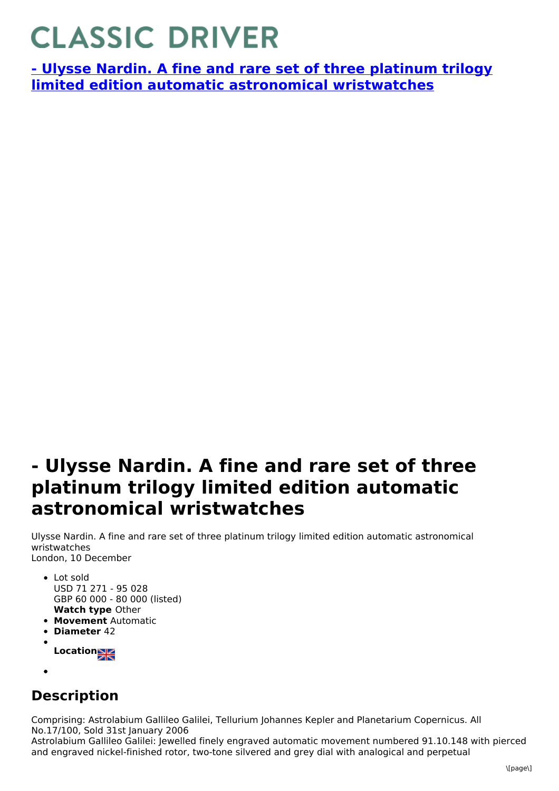## **CLASSIC DRIVER**

**- Ulysse Nardin. A fine and rare set of three platinum trilogy limited edition automatic astronomical [wristwatches](https://www.classicdriver.com/en/watch/269332)**

## **- Ulysse Nardin. A fine and rare set of three platinum trilogy limited edition automatic astronomical wristwatches**

Ulysse Nardin. A fine and rare set of three platinum trilogy limited edition automatic astronomical wristwatches London, 10 December

- **Watch type** Other • Lot sold USD 71 271 - 95 028 GBP 60 000 - 80 000 (listed)
- **Movement** Automatic
- **Diameter** 42
- **Location**
- 

## **Description**

Comprising: Astrolabium Gallileo Galilei, Tellurium Johannes Kepler and Planetarium Copernicus. All No.17/100, Sold 31st January 2006

Astrolabium Gallileo Galilei: Jewelled finely engraved automatic movement numbered 91.10.148 with pierced and engraved nickel-finished rotor, two-tone silvered and grey dial with analogical and perpetual